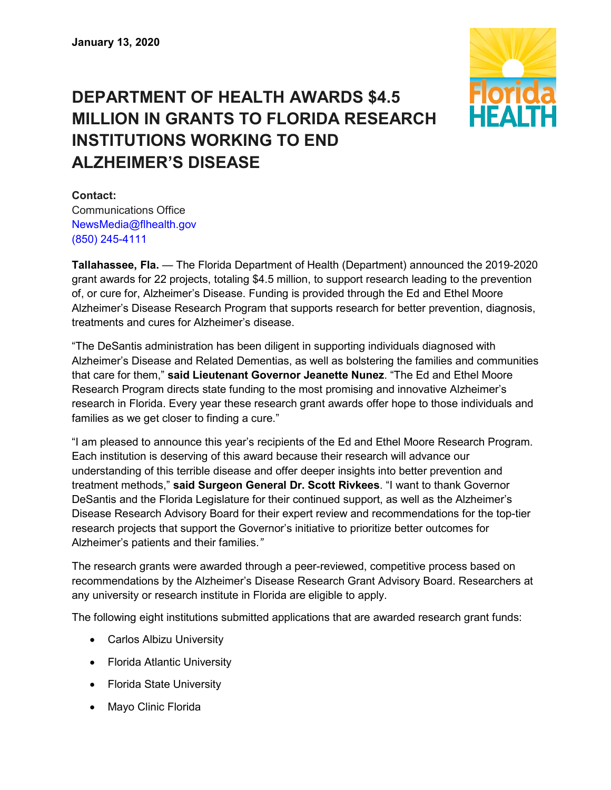

## **DEPARTMENT OF HEALTH AWARDS \$4.5 MILLION IN GRANTS TO FLORIDA RESEARCH INSTITUTIONS WORKING TO END ALZHEIMER'S DISEASE**

**Contact:**  Communications Office

[NewsMedia@flhealth.gov](mailto:newsmedia@flhealth.gov) (850) [245-4111](tel:+1-850-245-4111)

**Tallahassee, Fla.** — The Florida Department of Health (Department) announced the 2019-2020 grant awards for 22 projects, totaling \$4.5 million, to support research leading to the prevention of, or cure for, Alzheimer's Disease. Funding is provided through the Ed and Ethel Moore Alzheimer's Disease Research Program that supports research for better prevention, diagnosis, treatments and cures for Alzheimer's disease.

"The DeSantis administration has been diligent in supporting individuals diagnosed with Alzheimer's Disease and Related Dementias, as well as bolstering the families and communities that care for them," **said Lieutenant Governor Jeanette Nunez**. "The Ed and Ethel Moore Research Program directs state funding to the most promising and innovative Alzheimer's research in Florida. Every year these research grant awards offer hope to those individuals and families as we get closer to finding a cure."

"I am pleased to announce this year's recipients of the Ed and Ethel Moore Research Program. Each institution is deserving of this award because their research will advance our understanding of this terrible disease and offer deeper insights into better prevention and treatment methods," **said Surgeon General Dr. Scott Rivkees**. "I want to thank Governor DeSantis and the Florida Legislature for their continued support, as well as the Alzheimer's Disease Research Advisory Board for their expert review and recommendations for the top-tier research projects that support the Governor's initiative to prioritize better outcomes for Alzheimer's patients and their families.*"*

The research grants were awarded through a peer-reviewed, competitive process based on recommendations by the Alzheimer's Disease Research Grant Advisory Board. Researchers at any university or research institute in Florida are eligible to apply.

The following eight institutions submitted applications that are awarded research grant funds:

- Carlos Albizu University
- Florida Atlantic University
- Florida State University
- Mayo Clinic Florida